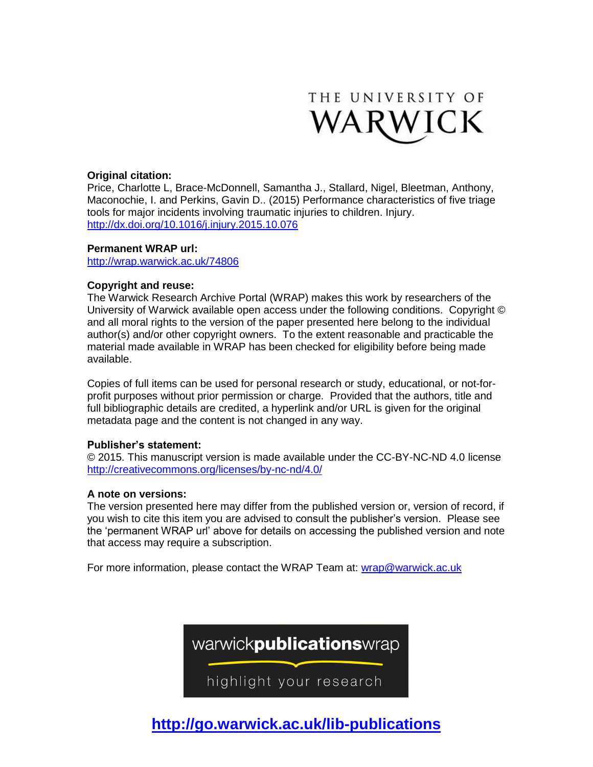

# **Original citation:**

Price, Charlotte L, Brace-McDonnell, Samantha J., Stallard, Nigel, Bleetman, Anthony, Maconochie, I. and Perkins, Gavin D.. (2015) Performance characteristics of five triage tools for major incidents involving traumatic injuries to children. Injury. <http://dx.doi.org/10.1016/j.injury.2015.10.076>

#### **Permanent WRAP url:**

<http://wrap.warwick.ac.uk/74806>

## **Copyright and reuse:**

The Warwick Research Archive Portal (WRAP) makes this work by researchers of the University of Warwick available open access under the following conditions. Copyright © and all moral rights to the version of the paper presented here belong to the individual author(s) and/or other copyright owners. To the extent reasonable and practicable the material made available in WRAP has been checked for eligibility before being made available.

Copies of full items can be used for personal research or study, educational, or not-forprofit purposes without prior permission or charge. Provided that the authors, title and full bibliographic details are credited, a hyperlink and/or URL is given for the original metadata page and the content is not changed in any way.

## **Publisher's statement:**

© 2015. This manuscript version is made available under the CC-BY-NC-ND 4.0 license <http://creativecommons.org/licenses/by-nc-nd/4.0/>

## **A note on versions:**

The version presented here may differ from the published version or, version of record, if you wish to cite this item you are advised to consult the publisher's version. Please see the 'permanent WRAP url' above for details on accessing the published version and note that access may require a subscription.

For more information, please contact the WRAP Team at: [wrap@warwick.ac.uk](mailto:wrap@warwick.ac.uk)



**<http://go.warwick.ac.uk/>lib-publications**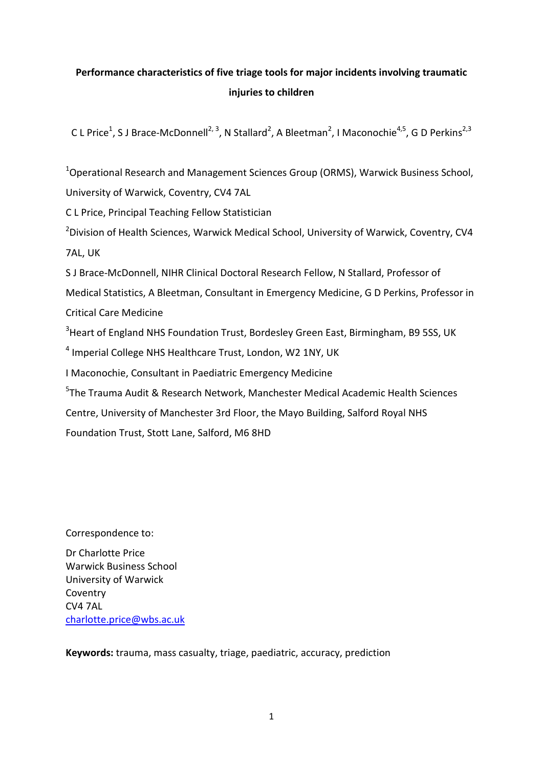# **Performance characteristics of five triage tools for major incidents involving traumatic injuries to children**

C L Price<sup>1</sup>, S J Brace-McDonnell<sup>2, 3</sup>, N Stallard<sup>2</sup>, A Bleetman<sup>2</sup>, I Maconochie<sup>4,5</sup>, G D Perkins<sup>2,3</sup>

<sup>1</sup>Operational Research and Management Sciences Group (ORMS), Warwick Business School, University of Warwick, Coventry, CV4 7AL

C L Price, Principal Teaching Fellow Statistician

<sup>2</sup>Division of Health Sciences, Warwick Medical School, University of Warwick, Coventry, CV4 7AL, UK

S J Brace-McDonnell, NIHR Clinical Doctoral Research Fellow, N Stallard, Professor of

Medical Statistics, A Bleetman, Consultant in Emergency Medicine, G D Perkins, Professor in Critical Care Medicine

<sup>3</sup> Heart of England NHS Foundation Trust, Bordesley Green East, Birmingham, B9 5SS, UK

<sup>4</sup> Imperial College NHS Healthcare Trust, London, W2 1NY, UK

I Maconochie, Consultant in Paediatric Emergency Medicine

5 The Trauma Audit & Research Network, Manchester Medical Academic Health Sciences

Centre, University of Manchester 3rd Floor, the Mayo Building, Salford Royal NHS

Foundation Trust, Stott Lane, Salford, M6 8HD

Correspondence to:

Dr Charlotte Price Warwick Business School University of Warwick Coventry CV4 7AL charlotte.price@wbs.ac.uk

**Keywords:** trauma, mass casualty, triage, paediatric, accuracy, prediction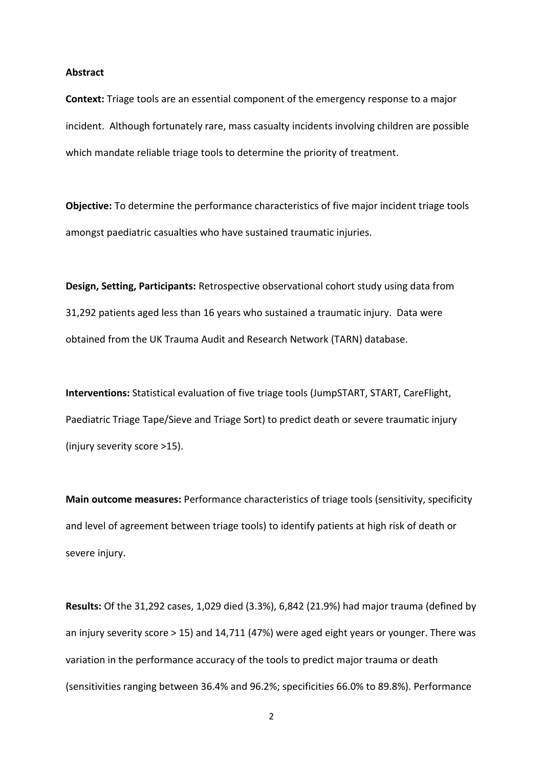### **Abstract**

**Context:** Triage tools are an essential component of the emergency response to a major incident. Although fortunately rare, mass casualty incidents involving children are possible which mandate reliable triage tools to determine the priority of treatment.

**Objective:** To determine the performance characteristics of five major incident triage tools amongst paediatric casualties who have sustained traumatic injuries.

**Design, Setting, Participants:** Retrospective observational cohort study using data from 31,292 patients aged less than 16 years who sustained a traumatic injury. Data were obtained from the UK Trauma Audit and Research Network (TARN) database.

**Interventions:** Statistical evaluation of five triage tools (JumpSTART, START, CareFlight, Paediatric Triage Tape/Sieve and Triage Sort) to predict death or severe traumatic injury (injury severity score >15).

**Main outcome measures:** Performance characteristics of triage tools (sensitivity, specificity and level of agreement between triage tools) to identify patients at high risk of death or severe injury.

**Results:** Of the 31,292 cases, 1,029 died (3.3%), 6,842 (21.9%) had major trauma (defined by an injury severity score > 15) and 14,711 (47%) were aged eight years or younger. There was variation in the performance accuracy of the tools to predict major trauma or death (sensitivities ranging between 36.4% and 96.2%; specificities 66.0% to 89.8%). Performance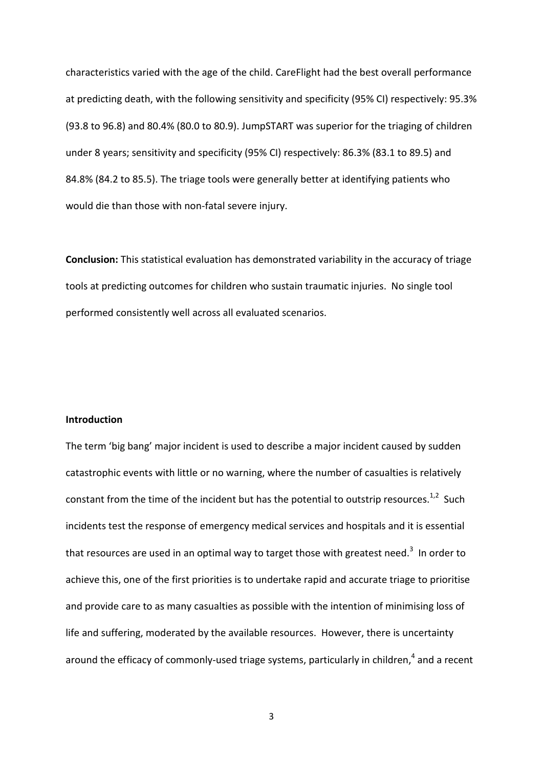characteristics varied with the age of the child. CareFlight had the best overall performance at predicting death, with the following sensitivity and specificity (95% CI) respectively: 95.3% (93.8 to 96.8) and 80.4% (80.0 to 80.9). JumpSTART was superior for the triaging of children under 8 years; sensitivity and specificity (95% CI) respectively: 86.3% (83.1 to 89.5) and 84.8% (84.2 to 85.5). The triage tools were generally better at identifying patients who would die than those with non-fatal severe injury.

**Conclusion:** This statistical evaluation has demonstrated variability in the accuracy of triage tools at predicting outcomes for children who sustain traumatic injuries. No single tool performed consistently well across all evaluated scenarios.

### **Introduction**

The term 'big bang' major incident is used to describe a major incident caused by sudden catastrophic events with little or no warning, where the number of casualties is relatively constant from the time of the incident but has the potential to outstrip resources.<sup>1,2</sup> Such incidents test the response of emergency medical services and hospitals and it is essential that resources are used in an optimal way to target those with greatest need.<sup>3</sup> In order to achieve this, one of the first priorities is to undertake rapid and accurate triage to prioritise and provide care to as many casualties as possible with the intention of minimising loss of life and suffering, moderated by the available resources. However, there is uncertainty around the efficacy of commonly-used triage systems, particularly in children, $<sup>4</sup>$  and a recent</sup>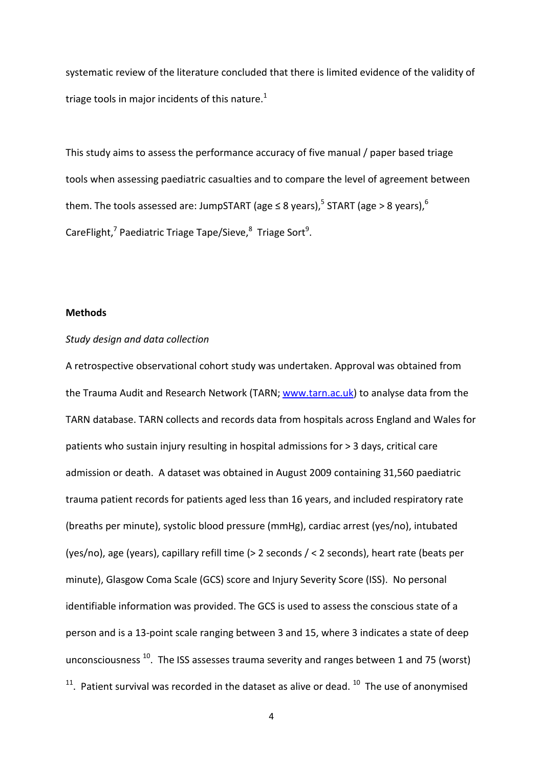systematic review of the literature concluded that there is limited evidence of the validity of triage tools in major incidents of this nature. $1$ 

This study aims to assess the performance accuracy of five manual / paper based triage tools when assessing paediatric casualties and to compare the level of agreement between them. The tools assessed are: JumpSTART (age  $\leq$  8 years),  $^5$  START (age > 8 years),  $^6$ CareFlight,<sup>7</sup> Paediatric Triage Tape/Sieve,<sup>8</sup> Triage Sort<sup>9</sup>.

### **Methods**

# *Study design and data collection*

A retrospective observational cohort study was undertaken. Approval was obtained from the Trauma Audit and Research Network (TARN; www.tarn.ac.uk) to analyse data from the TARN database. TARN collects and records data from hospitals across England and Wales for patients who sustain injury resulting in hospital admissions for > 3 days, critical care admission or death. A dataset was obtained in August 2009 containing 31,560 paediatric trauma patient records for patients aged less than 16 years, and included respiratory rate (breaths per minute), systolic blood pressure (mmHg), cardiac arrest (yes/no), intubated (yes/no), age (years), capillary refill time (> 2 seconds / < 2 seconds), heart rate (beats per minute), Glasgow Coma Scale (GCS) score and Injury Severity Score (ISS). No personal identifiable information was provided. The GCS is used to assess the conscious state of a person and is a 13-point scale ranging between 3 and 15, where 3 indicates a state of deep unconsciousness<sup>10</sup>. The ISS assesses trauma severity and ranges between 1 and 75 (worst)  $11$ . Patient survival was recorded in the dataset as alive or dead.  $10$  The use of anonymised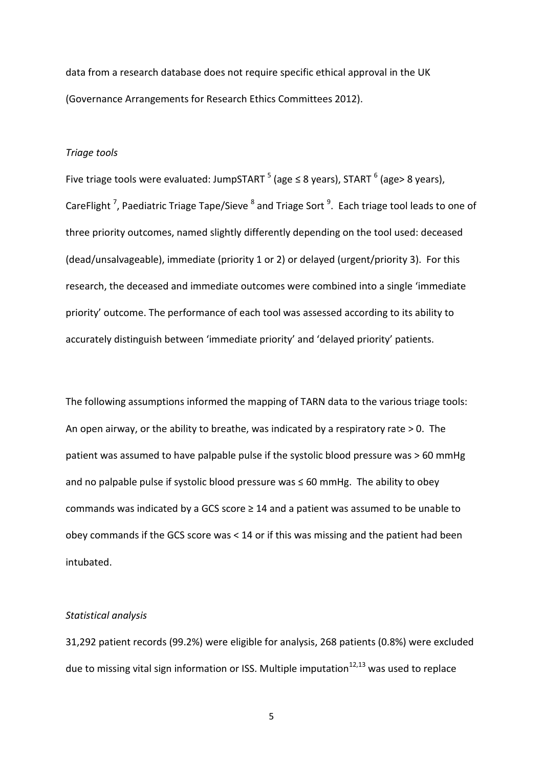data from a research database does not require specific ethical approval in the UK (Governance Arrangements for Research Ethics Committees 2012).

#### *Triage tools*

Five triage tools were evaluated: JumpSTART  $^5$  (age  $\leq$  8 years), START  $^6$  (age> 8 years), CareFlight<sup>7</sup>, Paediatric Triage Tape/Sieve <sup>8</sup> and Triage Sort<sup>9</sup>. Each triage tool leads to one of three priority outcomes, named slightly differently depending on the tool used: deceased (dead/unsalvageable), immediate (priority 1 or 2) or delayed (urgent/priority 3). For this research, the deceased and immediate outcomes were combined into a single 'immediate priority' outcome. The performance of each tool was assessed according to its ability to accurately distinguish between 'immediate priority' and 'delayed priority' patients.

The following assumptions informed the mapping of TARN data to the various triage tools: An open airway, or the ability to breathe, was indicated by a respiratory rate  $> 0$ . The patient was assumed to have palpable pulse if the systolic blood pressure was > 60 mmHg and no palpable pulse if systolic blood pressure was  $\leq 60$  mmHg. The ability to obey commands was indicated by a GCS score  $\geq$  14 and a patient was assumed to be unable to obey commands if the GCS score was < 14 or if this was missing and the patient had been intubated.

# *Statistical analysis*

31,292 patient records (99.2%) were eligible for analysis, 268 patients (0.8%) were excluded due to missing vital sign information or ISS. Multiple imputation $12,13$  was used to replace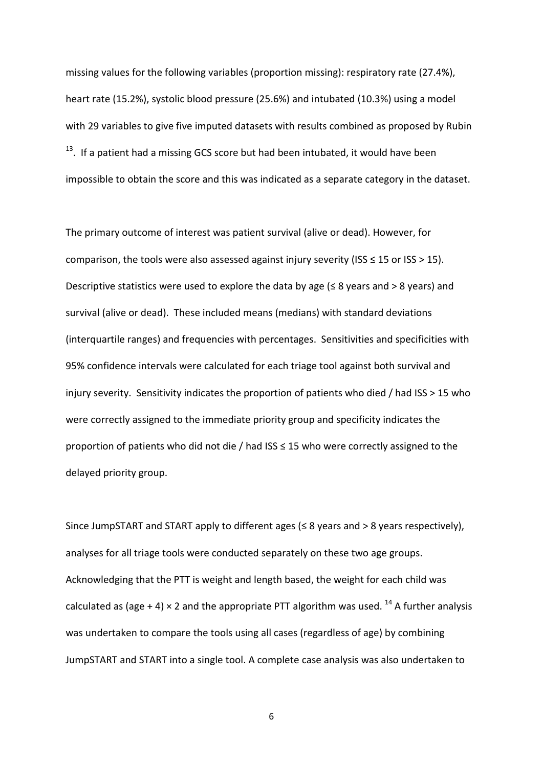missing values for the following variables (proportion missing): respiratory rate (27.4%), heart rate (15.2%), systolic blood pressure (25.6%) and intubated (10.3%) using a model with 29 variables to give five imputed datasets with results combined as proposed by Rubin  $13.$  If a patient had a missing GCS score but had been intubated, it would have been impossible to obtain the score and this was indicated as a separate category in the dataset.

The primary outcome of interest was patient survival (alive or dead). However, for comparison, the tools were also assessed against injury severity (ISS  $\leq$  15 or ISS > 15). Descriptive statistics were used to explore the data by age ( $\leq 8$  years and  $> 8$  years) and survival (alive or dead). These included means (medians) with standard deviations (interquartile ranges) and frequencies with percentages. Sensitivities and specificities with 95% confidence intervals were calculated for each triage tool against both survival and injury severity. Sensitivity indicates the proportion of patients who died / had ISS > 15 who were correctly assigned to the immediate priority group and specificity indicates the proportion of patients who did not die / had ISS ≤ 15 who were correctly assigned to the delayed priority group.

Since JumpSTART and START apply to different ages  $(\leq 8$  years and > 8 years respectively), analyses for all triage tools were conducted separately on these two age groups. Acknowledging that the PTT is weight and length based, the weight for each child was calculated as (age + 4)  $\times$  2 and the appropriate PTT algorithm was used. <sup>14</sup> A further analysis was undertaken to compare the tools using all cases (regardless of age) by combining JumpSTART and START into a single tool. A complete case analysis was also undertaken to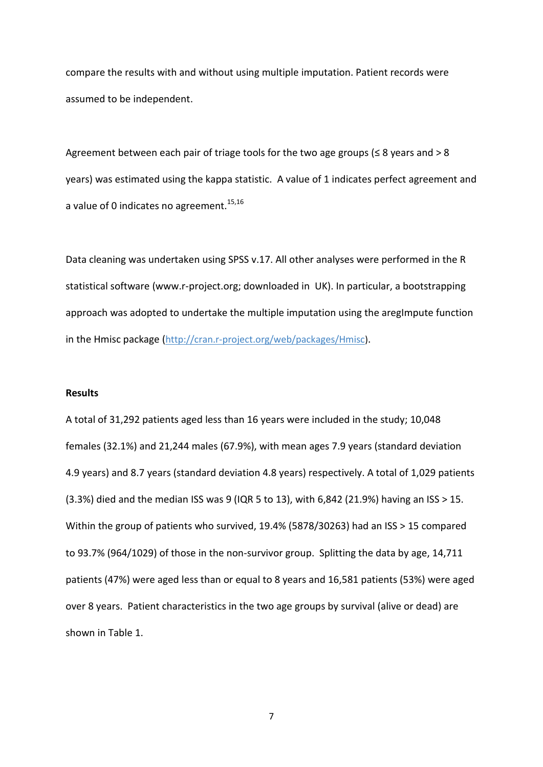compare the results with and without using multiple imputation. Patient records were assumed to be independent.

Agreement between each pair of triage tools for the two age groups ( $\leq 8$  years and  $> 8$ years) was estimated using the kappa statistic. A value of 1 indicates perfect agreement and a value of 0 indicates no agreement.<sup>15,16</sup>

Data cleaning was undertaken using SPSS v.17. All other analyses were performed in the R statistical software (www.r-project.org; downloaded in UK). In particular, a bootstrapping approach was adopted to undertake the multiple imputation using the aregimpute function in the Hmisc package (http://cran.r-project.org/web/packages/Hmisc).

#### **Results**

A total of 31,292 patients aged less than 16 years were included in the study; 10,048 females (32.1%) and 21,244 males (67.9%), with mean ages 7.9 years (standard deviation 4.9 years) and 8.7 years (standard deviation 4.8 years) respectively. A total of 1,029 patients (3.3%) died and the median ISS was 9 (IQR 5 to 13), with 6,842 (21.9%) having an ISS > 15. Within the group of patients who survived, 19.4% (5878/30263) had an ISS > 15 compared to 93.7% (964/1029) of those in the non-survivor group. Splitting the data by age, 14,711 patients (47%) were aged less than or equal to 8 years and 16,581 patients (53%) were aged over 8 years. Patient characteristics in the two age groups by survival (alive or dead) are shown in Table 1.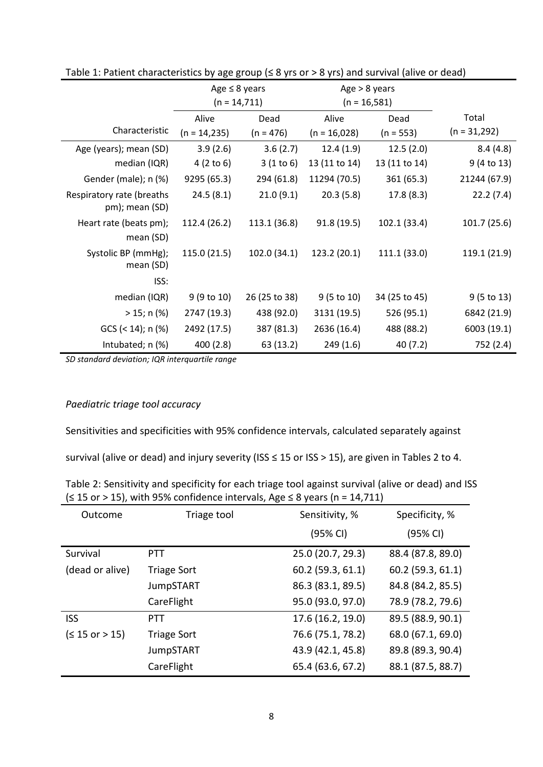|                                             |                      | Age $\leq 8$ years |                       | Age $> 8$ years |                       |
|---------------------------------------------|----------------------|--------------------|-----------------------|-----------------|-----------------------|
|                                             | $(n = 14, 711)$      |                    | $(n = 16, 581)$       |                 |                       |
|                                             | Alive                | Dead               | Alive                 | Dead            | Total                 |
| Characteristic                              | $(n = 14,235)$       | $(n = 476)$        | $(n = 16,028)$        | $(n = 553)$     | $(n = 31,292)$        |
| Age (years); mean (SD)                      | 3.9(2.6)             | 3.6(2.7)           | 12.4(1.9)             | 12.5(2.0)       | 8.4(4.8)              |
| median (IQR)                                | $4(2 \text{ to } 6)$ | 3(1 to 6)          | 13 (11 to 14)         | 13 (11 to 14)   | 9 (4 to 13)           |
| Gender (male); n (%)                        | 9295 (65.3)          | 294 (61.8)         | 11294 (70.5)          | 361 (65.3)      | 21244 (67.9)          |
| Respiratory rate (breaths<br>pm); mean (SD) | 24.5(8.1)            | 21.0(9.1)          | 20.3(5.8)             | 17.8(8.3)       | 22.2(7.4)             |
| Heart rate (beats pm);<br>mean (SD)         | 112.4 (26.2)         | 113.1 (36.8)       | 91.8(19.5)            | 102.1 (33.4)    | 101.7(25.6)           |
| Systolic BP (mmHg);<br>mean (SD)            | 115.0 (21.5)         | 102.0(34.1)        | 123.2 (20.1)          | 111.1 (33.0)    | 119.1 (21.9)          |
| ISS:                                        |                      |                    |                       |                 |                       |
| median (IQR)                                | 9(9 to 10)           | 26 (25 to 38)      | $9(5 \text{ to } 10)$ | 34 (25 to 45)   | $9(5 \text{ to } 13)$ |
| $> 15; n$ (%)                               | 2747 (19.3)          | 438 (92.0)         | 3131 (19.5)           | 526 (95.1)      | 6842 (21.9)           |
| $GCS$ (< 14); n (%)                         | 2492 (17.5)          | 387 (81.3)         | 2636 (16.4)           | 488 (88.2)      | 6003 (19.1)           |
| Intubated; n (%)                            | 400(2.8)             | 63 (13.2)          | 249(1.6)              | 40(7.2)         | 752 (2.4)             |

Table 1: Patient characteristics by age group (≤ 8 yrs or > 8 yrs) and survival (alive or dead)

*SD standard deviation; IQR interquartile range* 

# *Paediatric triage tool accuracy*

Sensitivities and specificities with 95% confidence intervals, calculated separately against

survival (alive or dead) and injury severity (ISS ≤ 15 or ISS > 15), are given in Tables 2 to 4.

| Table 2: Sensitivity and specificity for each triage tool against survival (alive or dead) and ISS |
|----------------------------------------------------------------------------------------------------|
| $($ $\leq$ 15 or > 15), with 95% confidence intervals, Age $\leq$ 8 years (n = 14,711)             |

| Outcome         | Triage tool        | Sensitivity, %    | Specificity, %    |
|-----------------|--------------------|-------------------|-------------------|
|                 |                    | (95% CI)          | (95% CI)          |
| Survival        | <b>PTT</b>         | 25.0 (20.7, 29.3) | 88.4 (87.8, 89.0) |
| (dead or alive) | <b>Triage Sort</b> | 60.2 (59.3, 61.1) | 60.2 (59.3, 61.1) |
|                 | <b>JumpSTART</b>   | 86.3 (83.1, 89.5) | 84.8 (84.2, 85.5) |
|                 | CareFlight         | 95.0 (93.0, 97.0) | 78.9 (78.2, 79.6) |
| <b>ISS</b>      | <b>PTT</b>         | 17.6 (16.2, 19.0) | 89.5 (88.9, 90.1) |
| (≤ 15 or > 15)  | <b>Triage Sort</b> | 76.6 (75.1, 78.2) | 68.0 (67.1, 69.0) |
|                 | <b>JumpSTART</b>   | 43.9 (42.1, 45.8) | 89.8 (89.3, 90.4) |
|                 | CareFlight         | 65.4 (63.6, 67.2) | 88.1 (87.5, 88.7) |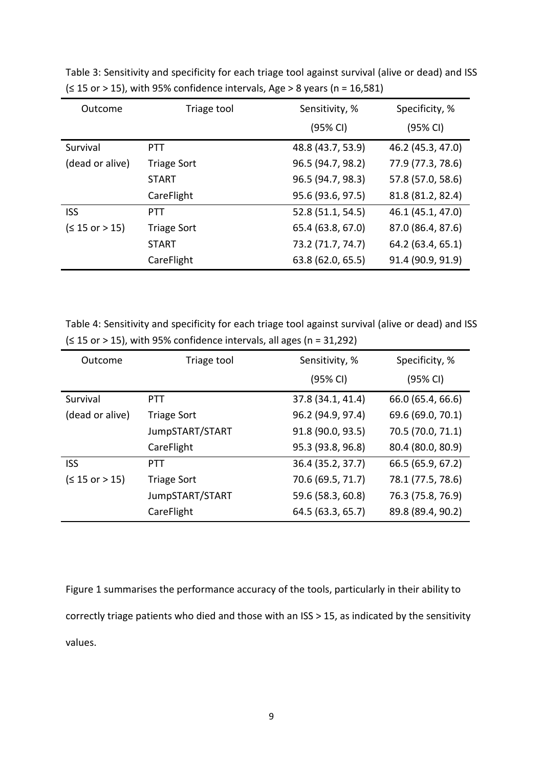| Outcome          | Triage tool        | Sensitivity, %    | Specificity, %    |
|------------------|--------------------|-------------------|-------------------|
|                  |                    | (95% CI)          | (95% CI)          |
| Survival         | <b>PTT</b>         | 48.8 (43.7, 53.9) | 46.2 (45.3, 47.0) |
| (dead or alive)  | <b>Triage Sort</b> | 96.5 (94.7, 98.2) | 77.9 (77.3, 78.6) |
|                  | <b>START</b>       | 96.5 (94.7, 98.3) | 57.8 (57.0, 58.6) |
|                  | CareFlight         | 95.6 (93.6, 97.5) | 81.8 (81.2, 82.4) |
| <b>ISS</b>       | <b>PTT</b>         | 52.8 (51.1, 54.5) | 46.1 (45.1, 47.0) |
| $(≤ 15$ or > 15) | <b>Triage Sort</b> | 65.4 (63.8, 67.0) | 87.0 (86.4, 87.6) |
|                  | <b>START</b>       | 73.2 (71.7, 74.7) | 64.2 (63.4, 65.1) |
|                  | CareFlight         | 63.8 (62.0, 65.5) | 91.4 (90.9, 91.9) |

Table 3: Sensitivity and specificity for each triage tool against survival (alive or dead) and ISS  $(≤ 15 or > 15)$ , with 95% confidence intervals, Age > 8 years (n = 16,581)

Table 4: Sensitivity and specificity for each triage tool against survival (alive or dead) and ISS  $(≤ 15 or > 15)$ , with 95% confidence intervals, all ages (n = 31,292)

| Outcome         | Triage tool        | Sensitivity, %    | Specificity, %    |
|-----------------|--------------------|-------------------|-------------------|
|                 |                    | (95% CI)          | (95% CI)          |
| Survival        | <b>PTT</b>         | 37.8 (34.1, 41.4) | 66.0 (65.4, 66.6) |
| (dead or alive) | <b>Triage Sort</b> | 96.2 (94.9, 97.4) | 69.6 (69.0, 70.1) |
|                 | JumpSTART/START    | 91.8 (90.0, 93.5) | 70.5 (70.0, 71.1) |
|                 | CareFlight         | 95.3 (93.8, 96.8) | 80.4 (80.0, 80.9) |
| <b>ISS</b>      | <b>PTT</b>         | 36.4 (35.2, 37.7) | 66.5 (65.9, 67.2) |
| (≤ 15 or > 15)  | <b>Triage Sort</b> | 70.6 (69.5, 71.7) | 78.1 (77.5, 78.6) |
|                 | JumpSTART/START    | 59.6 (58.3, 60.8) | 76.3 (75.8, 76.9) |
|                 | CareFlight         | 64.5 (63.3, 65.7) | 89.8 (89.4, 90.2) |

Figure 1 summarises the performance accuracy of the tools, particularly in their ability to correctly triage patients who died and those with an ISS > 15, as indicated by the sensitivity values.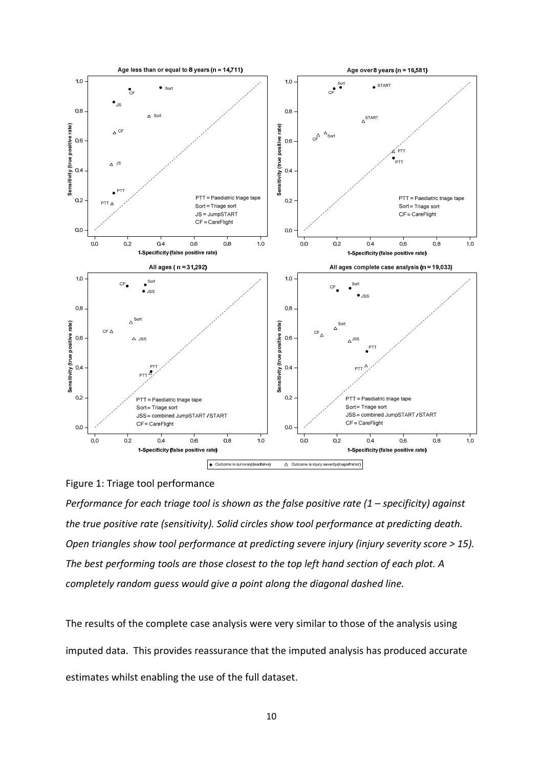

# Figure 1: Triage tool performance

*Performance for each triage tool is shown as the false positive rate (1 – specificity) against the true positive rate (sensitivity). Solid circles show tool performance at predicting death. Open triangles show tool performance at predicting severe injury (injury severity score > 15). The best performing tools are those closest to the top left hand section of each plot. A completely random guess would give a point along the diagonal dashed line.* 

The results of the complete case analysis were very similar to those of the analysis using imputed data. This provides reassurance that the imputed analysis has produced accurate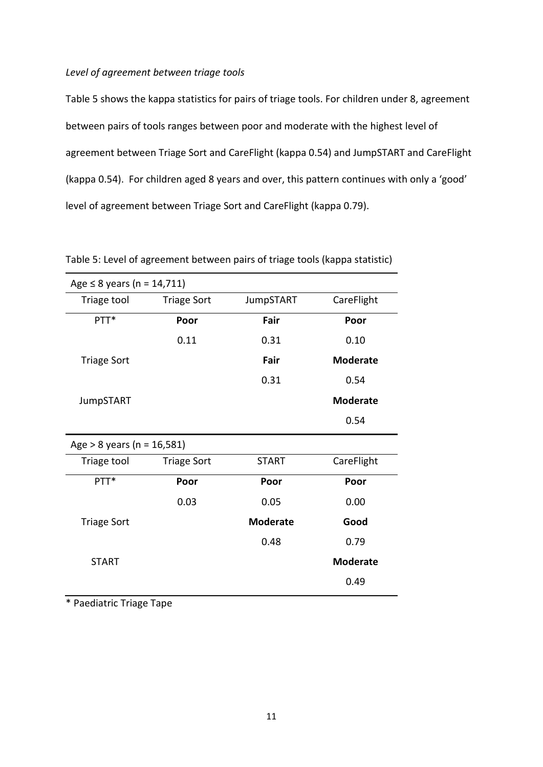# *Level of agreement between triage tools*

Table 5 shows the kappa statistics for pairs of triage tools. For children under 8, agreement between pairs of tools ranges between poor and moderate with the highest level of agreement between Triage Sort and CareFlight (kappa 0.54) and JumpSTART and CareFlight (kappa 0.54). For children aged 8 years and over, this pattern continues with only a 'good' level of agreement between Triage Sort and CareFlight (kappa 0.79).

| Age $\leq 8$ years (n = 14,711) |                    |                  |                 |  |
|---------------------------------|--------------------|------------------|-----------------|--|
| Triage tool                     | <b>Triage Sort</b> | <b>JumpSTART</b> | CareFlight      |  |
| PTT*                            | Poor               | Fair             | Poor            |  |
|                                 | 0.11               | 0.31             | 0.10            |  |
| <b>Triage Sort</b>              |                    | Fair             | <b>Moderate</b> |  |
|                                 |                    | 0.31             | 0.54            |  |
| <b>JumpSTART</b>                |                    |                  | <b>Moderate</b> |  |
|                                 |                    |                  | 0.54            |  |
| Age > 8 years ( $n = 16,581$ )  |                    |                  |                 |  |
| Triage tool                     | <b>Triage Sort</b> | <b>START</b>     | CareFlight      |  |
| PTT*                            | Poor               | Poor             | Poor            |  |
|                                 | 0.03               | 0.05             | 0.00            |  |
| <b>Triage Sort</b>              |                    | <b>Moderate</b>  | Good            |  |
|                                 |                    | 0.48             | 0.79            |  |
| <b>START</b>                    |                    |                  | <b>Moderate</b> |  |
|                                 |                    |                  | 0.49            |  |

Table 5: Level of agreement between pairs of triage tools (kappa statistic)

\* Paediatric Triage Tape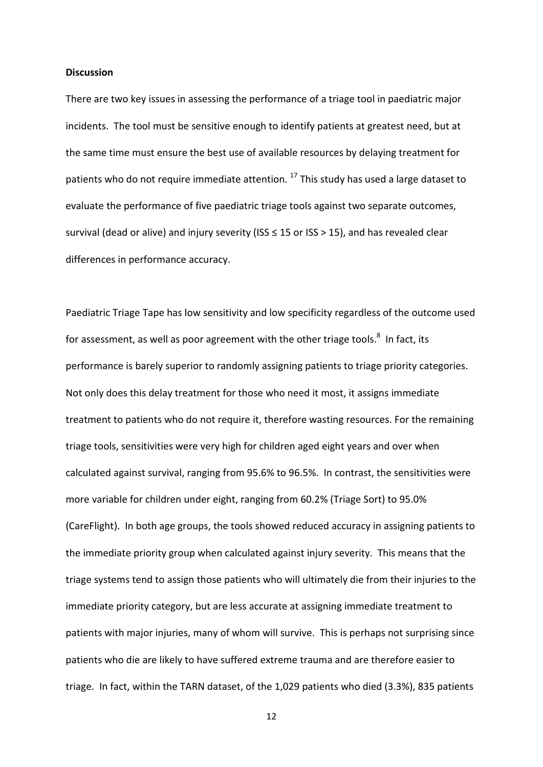#### **Discussion**

There are two key issues in assessing the performance of a triage tool in paediatric major incidents. The tool must be sensitive enough to identify patients at greatest need, but at the same time must ensure the best use of available resources by delaying treatment for patients who do not require immediate attention.<sup>17</sup> This study has used a large dataset to evaluate the performance of five paediatric triage tools against two separate outcomes, survival (dead or alive) and injury severity (ISS  $\leq$  15 or ISS > 15), and has revealed clear differences in performance accuracy.

Paediatric Triage Tape has low sensitivity and low specificity regardless of the outcome used for assessment, as well as poor agreement with the other triage tools. $^8$  In fact, its performance is barely superior to randomly assigning patients to triage priority categories. Not only does this delay treatment for those who need it most, it assigns immediate treatment to patients who do not require it, therefore wasting resources. For the remaining triage tools, sensitivities were very high for children aged eight years and over when calculated against survival, ranging from 95.6% to 96.5%. In contrast, the sensitivities were more variable for children under eight, ranging from 60.2% (Triage Sort) to 95.0% (CareFlight). In both age groups, the tools showed reduced accuracy in assigning patients to the immediate priority group when calculated against injury severity. This means that the triage systems tend to assign those patients who will ultimately die from their injuries to the immediate priority category, but are less accurate at assigning immediate treatment to patients with major injuries, many of whom will survive. This is perhaps not surprising since patients who die are likely to have suffered extreme trauma and are therefore easier to triage. In fact, within the TARN dataset, of the 1,029 patients who died (3.3%), 835 patients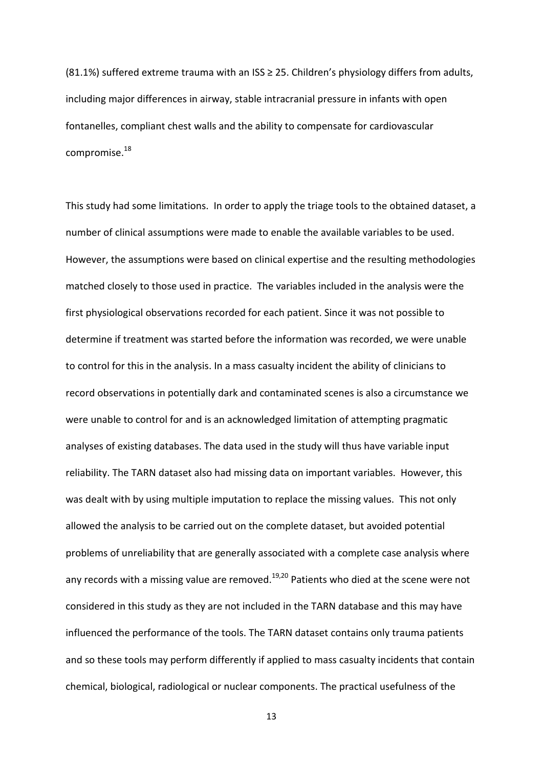(81.1%) suffered extreme trauma with an ISS  $\geq$  25. Children's physiology differs from adults, including major differences in airway, stable intracranial pressure in infants with open fontanelles, compliant chest walls and the ability to compensate for cardiovascular compromise.<sup>18</sup>

This study had some limitations. In order to apply the triage tools to the obtained dataset, a number of clinical assumptions were made to enable the available variables to be used. However, the assumptions were based on clinical expertise and the resulting methodologies matched closely to those used in practice. The variables included in the analysis were the first physiological observations recorded for each patient. Since it was not possible to determine if treatment was started before the information was recorded, we were unable to control for this in the analysis. In a mass casualty incident the ability of clinicians to record observations in potentially dark and contaminated scenes is also a circumstance we were unable to control for and is an acknowledged limitation of attempting pragmatic analyses of existing databases. The data used in the study will thus have variable input reliability. The TARN dataset also had missing data on important variables. However, this was dealt with by using multiple imputation to replace the missing values. This not only allowed the analysis to be carried out on the complete dataset, but avoided potential problems of unreliability that are generally associated with a complete case analysis where any records with a missing value are removed.<sup>19,20</sup> Patients who died at the scene were not considered in this study as they are not included in the TARN database and this may have influenced the performance of the tools. The TARN dataset contains only trauma patients and so these tools may perform differently if applied to mass casualty incidents that contain chemical, biological, radiological or nuclear components. The practical usefulness of the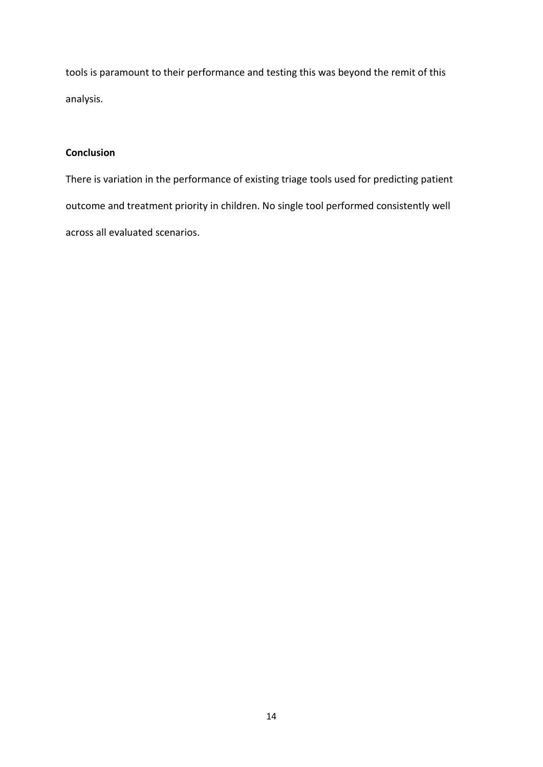tools is paramount to their performance and testing this was beyond the remit of this analysis.

# **Conclusion**

There is variation in the performance of existing triage tools used for predicting patient outcome and treatment priority in children. No single tool performed consistently well across all evaluated scenarios.